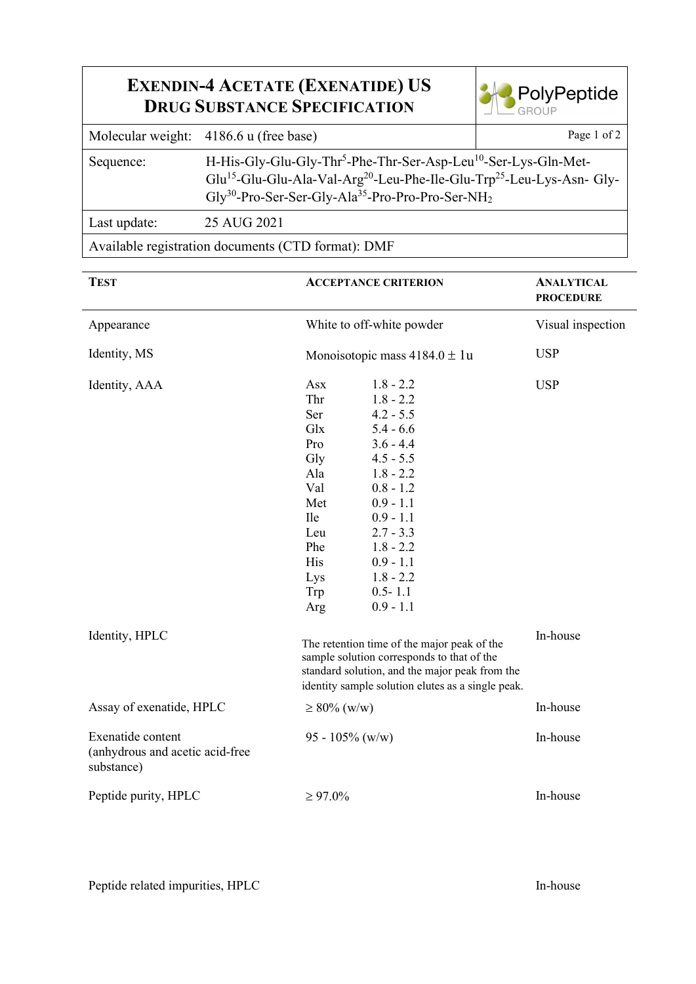## **EXENDIN-4 ACETATE (EXENATIDE) US DRUG SUBSTANCE SPECIFICATION**



|              | Molecular weight: 4186.6 u (free base)                                                                                                                                                                                                                                                        | Page 1 of 2 |  |  |
|--------------|-----------------------------------------------------------------------------------------------------------------------------------------------------------------------------------------------------------------------------------------------------------------------------------------------|-------------|--|--|
| Sequence:    | H-His-Gly-Glu-Gly-Thr <sup>5</sup> -Phe-Thr-Ser-Asp-Leu <sup>10</sup> -Ser-Lys-Gln-Met-<br>Glu <sup>15</sup> -Glu-Glu-Ala-Val-Arg <sup>20</sup> -Leu-Phe-Ile-Glu-Trp <sup>25</sup> -Leu-Lys-Asn-Gly-<br>$\text{Gly}^{30}$ -Pro-Ser-Ser-Gly-Ala <sup>35</sup> -Pro-Pro-Pro-Ser-NH <sub>2</sub> |             |  |  |
| Last update: | 25 AUG 2021                                                                                                                                                                                                                                                                                   |             |  |  |
|              |                                                                                                                                                                                                                                                                                               |             |  |  |

Available registration documents (CTD format): DMF

| <b>TEST</b>                                                        |                                                                                                                                                                                                  | <b>ACCEPTANCE CRITERION</b>                                                                                                                                                                                                                  | <b>ANALYTICAL</b><br><b>PROCEDURE</b> |
|--------------------------------------------------------------------|--------------------------------------------------------------------------------------------------------------------------------------------------------------------------------------------------|----------------------------------------------------------------------------------------------------------------------------------------------------------------------------------------------------------------------------------------------|---------------------------------------|
| Appearance                                                         | White to off-white powder                                                                                                                                                                        |                                                                                                                                                                                                                                              | Visual inspection                     |
| Identity, MS                                                       | Monoisotopic mass $4184.0 \pm 1u$                                                                                                                                                                |                                                                                                                                                                                                                                              | <b>USP</b>                            |
| Identity, AAA                                                      | Asx<br>Thr<br>Ser<br>Glx<br>Pro<br>Gly<br>Ala<br>Val<br>Met<br><b>Ile</b><br>Leu<br>Phe<br>His<br>Lys<br>Trp<br>Arg                                                                              | $1.8 - 2.2$<br>$1.8 - 2.2$<br>$4.2 - 5.5$<br>$5.4 - 6.6$<br>$3.6 - 4.4$<br>$4.5 - 5.5$<br>$1.8 - 2.2$<br>$0.8 - 1.2$<br>$0.9 - 1.1$<br>$0.9 - 1.1$<br>$2.7 - 3.3$<br>$1.8 - 2.2$<br>$0.9 - 1.1$<br>$1.8 - 2.2$<br>$0.5 - 1.1$<br>$0.9 - 1.1$ | <b>USP</b>                            |
| Identity, HPLC                                                     | The retention time of the major peak of the<br>sample solution corresponds to that of the<br>standard solution, and the major peak from the<br>identity sample solution elutes as a single peak. |                                                                                                                                                                                                                                              | In-house                              |
| Assay of exenatide, HPLC<br>$\geq 80\%$ (w/w)                      |                                                                                                                                                                                                  | In-house                                                                                                                                                                                                                                     |                                       |
| Exenatide content<br>(anhydrous and acetic acid-free<br>substance) | 95 - 105% (w/w)                                                                                                                                                                                  |                                                                                                                                                                                                                                              | In-house                              |
| Peptide purity, HPLC                                               | $\geq 97.0\%$                                                                                                                                                                                    |                                                                                                                                                                                                                                              | In-house                              |

Peptide related impurities, HPLC In-house